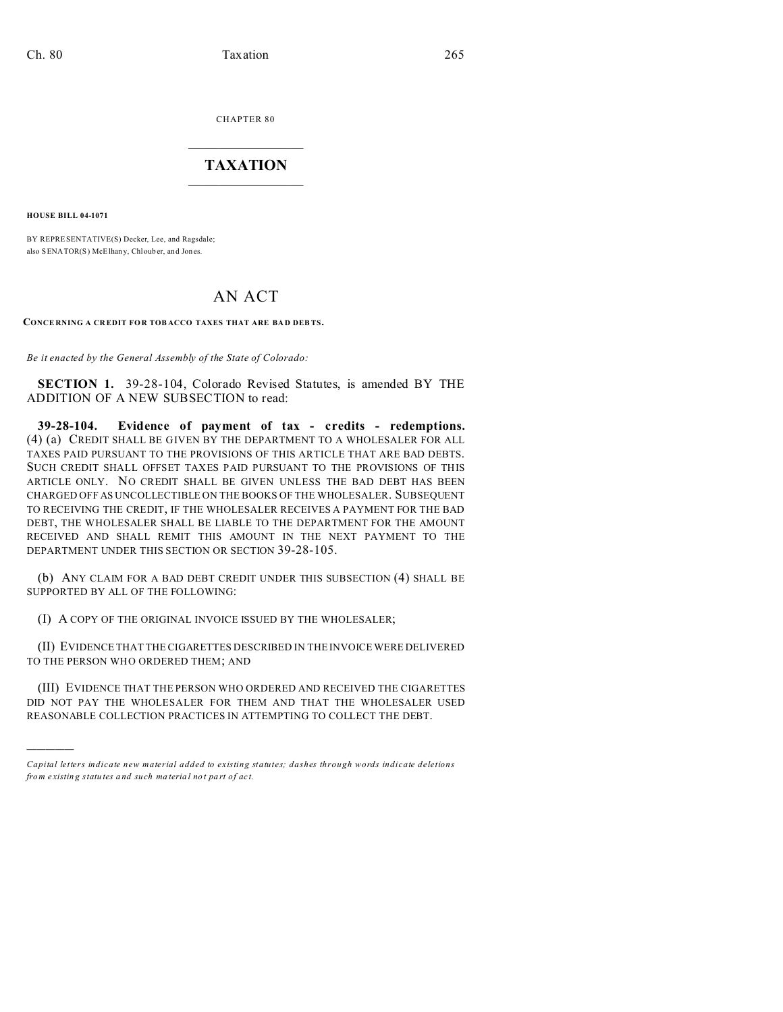CHAPTER 80  $\overline{\phantom{a}}$  , where  $\overline{\phantom{a}}$ 

## **TAXATION**  $\_$

**HOUSE BILL 04-1071**

)))))

BY REPRESENTATIVE(S) Decker, Lee, and Ragsdale; also SENATOR(S) McElhany, Chloub er, and Jones.

## AN ACT

**CONCE RNING A CR EDIT FOR TOB ACCO TAXES THAT ARE BA D DEB TS.**

*Be it enacted by the General Assembly of the State of Colorado:*

**SECTION 1.** 39-28-104, Colorado Revised Statutes, is amended BY THE ADDITION OF A NEW SUBSECTION to read:

**39-28-104. Evidence of payment of tax - credits - redemptions.** (4) (a) CREDIT SHALL BE GIVEN BY THE DEPARTMENT TO A WHOLESALER FOR ALL TAXES PAID PURSUANT TO THE PROVISIONS OF THIS ARTICLE THAT ARE BAD DEBTS. SUCH CREDIT SHALL OFFSET TAXES PAID PURSUANT TO THE PROVISIONS OF THIS ARTICLE ONLY. NO CREDIT SHALL BE GIVEN UNLESS THE BAD DEBT HAS BEEN CHARGED OFF AS UNCOLLECTIBLE ON THE BOOKS OF THE WHOLESALER. SUBSEQUENT TO RECEIVING THE CREDIT, IF THE WHOLESALER RECEIVES A PAYMENT FOR THE BAD DEBT, THE WHOLESALER SHALL BE LIABLE TO THE DEPARTMENT FOR THE AMOUNT RECEIVED AND SHALL REMIT THIS AMOUNT IN THE NEXT PAYMENT TO THE DEPARTMENT UNDER THIS SECTION OR SECTION 39-28-105.

(b) ANY CLAIM FOR A BAD DEBT CREDIT UNDER THIS SUBSECTION (4) SHALL BE SUPPORTED BY ALL OF THE FOLLOWING:

(I) A COPY OF THE ORIGINAL INVOICE ISSUED BY THE WHOLESALER;

(II) EVIDENCE THAT THE CIGARETTES DESCRIBED IN THE INVOICE WERE DELIVERED TO THE PERSON WHO ORDERED THEM; AND

(III) EVIDENCE THAT THE PERSON WHO ORDERED AND RECEIVED THE CIGARETTES DID NOT PAY THE WHOLESALER FOR THEM AND THAT THE WHOLESALER USED REASONABLE COLLECTION PRACTICES IN ATTEMPTING TO COLLECT THE DEBT.

*Capital letters indicate new material added to existing statutes; dashes through words indicate deletions from e xistin g statu tes a nd such ma teria l no t pa rt of ac t.*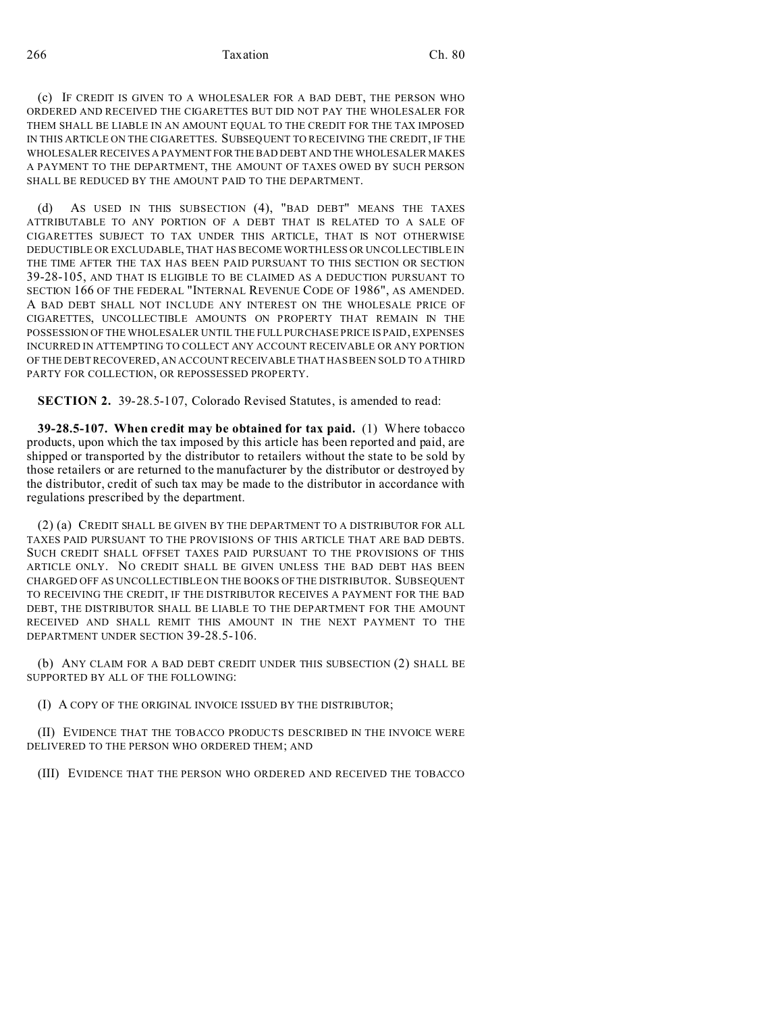266 Taxation Ch. 80

(c) IF CREDIT IS GIVEN TO A WHOLESALER FOR A BAD DEBT, THE PERSON WHO ORDERED AND RECEIVED THE CIGARETTES BUT DID NOT PAY THE WHOLESALER FOR THEM SHALL BE LIABLE IN AN AMOUNT EQUAL TO THE CREDIT FOR THE TAX IMPOSED IN THIS ARTICLE ON THE CIGARETTES. SUBSEQUENT TO RECEIVING THE CREDIT, IF THE WHOLESALER RECEIVES A PAYMENT FORTHE BAD DEBT AND THE WHOLESALER MAKES A PAYMENT TO THE DEPARTMENT, THE AMOUNT OF TAXES OWED BY SUCH PERSON SHALL BE REDUCED BY THE AMOUNT PAID TO THE DEPARTMENT.

(d) AS USED IN THIS SUBSECTION (4), "BAD DEBT" MEANS THE TAXES ATTRIBUTABLE TO ANY PORTION OF A DEBT THAT IS RELATED TO A SALE OF CIGARETTES SUBJECT TO TAX UNDER THIS ARTICLE, THAT IS NOT OTHERWISE DEDUCTIBLE OR EXCLUDABLE, THAT HAS BECOME WORTHLESS OR UNCOLLECTIBLE IN THE TIME AFTER THE TAX HAS BEEN PAID PURSUANT TO THIS SECTION OR SECTION 39-28-105, AND THAT IS ELIGIBLE TO BE CLAIMED AS A DEDUCTION PURSUANT TO SECTION 166 OF THE FEDERAL "INTERNAL REVENUE CODE OF 1986", AS AMENDED. A BAD DEBT SHALL NOT INCLUDE ANY INTEREST ON THE WHOLESALE PRICE OF CIGARETTES, UNCOLLECTIBLE AMOUNTS ON PROPERTY THAT REMAIN IN THE POSSESSION OF THE WHOLESALER UNTIL THE FULL PURCHASE PRICE IS PAID, EXPENSES INCURRED IN ATTEMPTING TO COLLECT ANY ACCOUNT RECEIVABLE OR ANY PORTION OF THE DEBT RECOVERED, AN ACCOUNT RECEIVABLE THAT HAS BEEN SOLD TO A THIRD PARTY FOR COLLECTION, OR REPOSSESSED PROPERTY.

**SECTION 2.** 39-28.5-107, Colorado Revised Statutes, is amended to read:

**39-28.5-107. When credit may be obtained for tax paid.** (1) Where tobacco products, upon which the tax imposed by this article has been reported and paid, are shipped or transported by the distributor to retailers without the state to be sold by those retailers or are returned to the manufacturer by the distributor or destroyed by the distributor, credit of such tax may be made to the distributor in accordance with regulations prescribed by the department.

(2) (a) CREDIT SHALL BE GIVEN BY THE DEPARTMENT TO A DISTRIBUTOR FOR ALL TAXES PAID PURSUANT TO THE PROVISIONS OF THIS ARTICLE THAT ARE BAD DEBTS. SUCH CREDIT SHALL OFFSET TAXES PAID PURSUANT TO THE PROVISIONS OF THIS ARTICLE ONLY. NO CREDIT SHALL BE GIVEN UNLESS THE BAD DEBT HAS BEEN CHARGED OFF AS UNCOLLECTIBLE ON THE BOOKS OF THE DISTRIBUTOR. SUBSEQUENT TO RECEIVING THE CREDIT, IF THE DISTRIBUTOR RECEIVES A PAYMENT FOR THE BAD DEBT, THE DISTRIBUTOR SHALL BE LIABLE TO THE DEPARTMENT FOR THE AMOUNT RECEIVED AND SHALL REMIT THIS AMOUNT IN THE NEXT PAYMENT TO THE DEPARTMENT UNDER SECTION 39-28.5-106.

(b) ANY CLAIM FOR A BAD DEBT CREDIT UNDER THIS SUBSECTION (2) SHALL BE SUPPORTED BY ALL OF THE FOLLOWING:

(I) A COPY OF THE ORIGINAL INVOICE ISSUED BY THE DISTRIBUTOR;

(II) EVIDENCE THAT THE TOBACCO PRODUCTS DESCRIBED IN THE INVOICE WERE DELIVERED TO THE PERSON WHO ORDERED THEM; AND

(III) EVIDENCE THAT THE PERSON WHO ORDERED AND RECEIVED THE TOBACCO